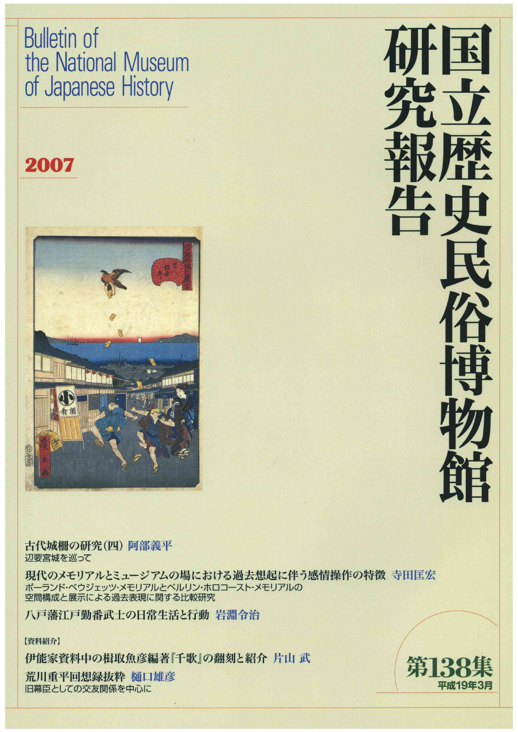## **Bulletin of**  the National Museum of Japanese History

### 2007



古代城柵の研究(四)阿部義平 辺要宮城を巡って

現代のメモリアルとミュージアムの場における過去想起に伴う感情操作の特徴 寺田匡宏 ポーランド・ベウジェッツメモリアルとベルリン・ホロコースト・メモリアルの 空間構成と展示による過去表現に関する比較研究

八戸藩江戸勤番武士の日常生活と行動 岩淵令治

【資料紹介】 /

伊能家資料中の楫取魚彦編著『千歌』の翻刻と紹介 片山 武<br>荒川重平回想録抜粋 樋口雄彦 旧幕臣としての交友関係を中心に ! \_ 平成19年3月

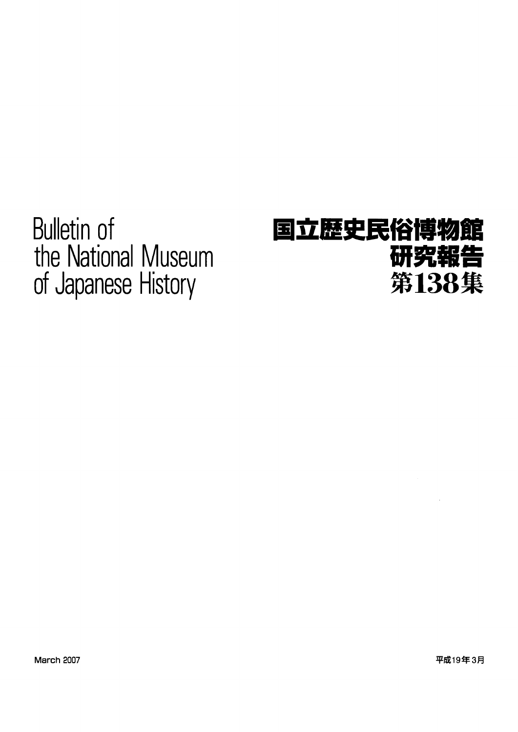Bulletin of the National Museum of Japanese History

# 国立歴史民俗博物館 研究報告 第138集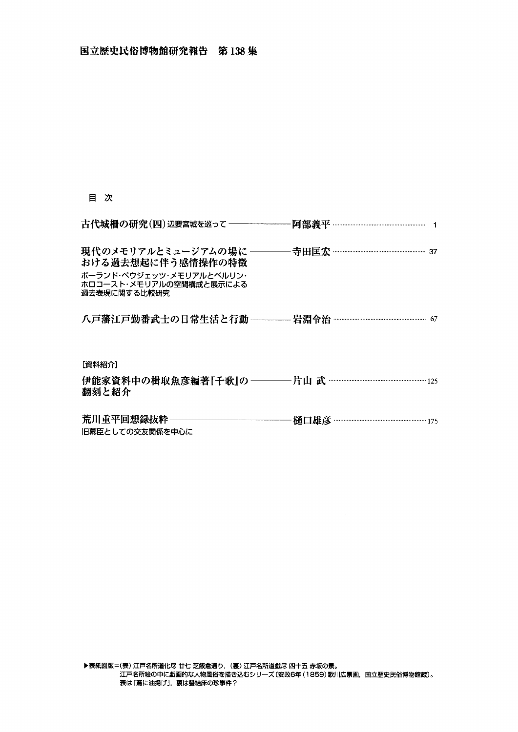#### 目 次

| 現代のメモリアルとミュージアムの場に ――――寺田匡宏 …………………………………………… 37   |
|----------------------------------------------------|
| 八戸藩江戸勤番武士の日常生活と行動 –––––岩淵令治 ………………………………………………… 67 |
|                                                    |
|                                                    |
|                                                    |
|                                                    |

 $\sim$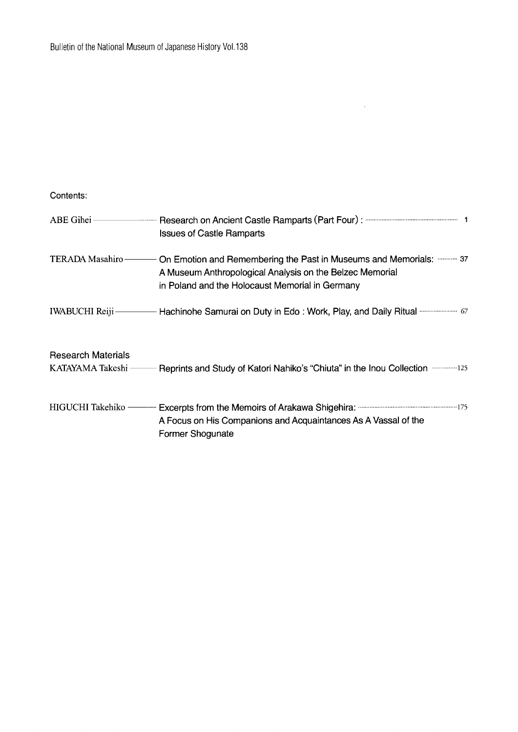#### Contents:

| $ABE$ Gihei $\equiv$      | <b>Issues of Castle Ramparts</b>                                                                                                                                                 |
|---------------------------|----------------------------------------------------------------------------------------------------------------------------------------------------------------------------------|
| TERADA Masahiro-          | On Emotion and Remembering the Past in Museums and Memorials:  37<br>A Museum Anthropological Analysis on the Belzec Memorial<br>in Poland and the Holocaust Memorial in Germany |
|                           | IWABUCHI Reiji - Hachinohe Samurai on Duty in Edo: Work, Play, and Daily Ritual manufacture 67                                                                                   |
| <b>Research Materials</b> |                                                                                                                                                                                  |
| KATAYAMA Takeshi -        | Reprints and Study of Katori Nahiko's "Chiuta" in the Inou Collection 125                                                                                                        |
| HIGUCHI Takehiko -        | A Focus on His Companions and Acquaintances As A Vassal of the<br>Former Shogunate                                                                                               |

 $\hat{\mathcal{A}}$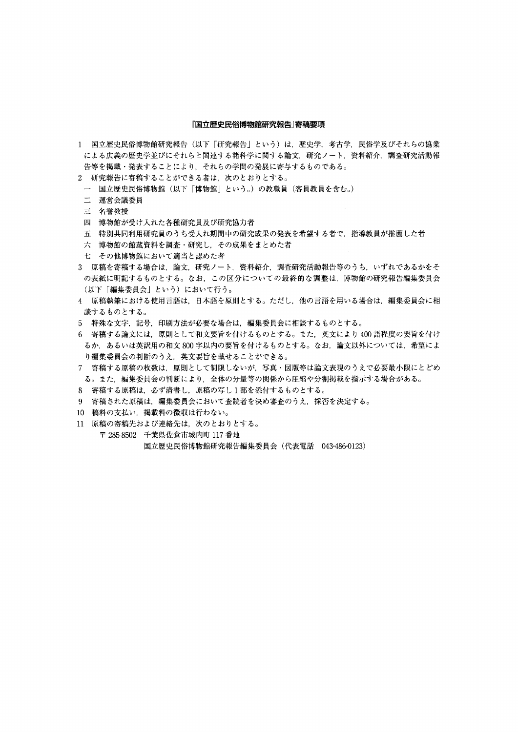#### 『国立歴史民俗博物館研究報告』寄稿要項

- 1 国立歴史民俗博物館研究報告(以下「研究報告」という)は,歴史学,考古学,民俗学及びそれらの協業 による広義の歴史学並びにそれらと関連する諸科学に関する論文,研究ノート,資料紹介,調査研究活動報 告等を掲載・発表することにより,それらの学問の発展に寄与するものである。
- 2 研究報告に寄稿することができる者は,次のとおりとする。
- 一 国立歴史民俗博物館(以下「博物館」という。)の教職員(客員教員を含む。)
- 二 運営会議委員
- 三 名誉教授
- 四 博物館が受け入れた各種研究員及び研究協力者
- 五 特別共同利用研究員のうち受入れ期間中の研究成果の発表を希望する者で,指導教員が推薦した者
- 六 博物館の館蔵資料を調査・研究し,その成果をまとめた者
- 七 その他博物館において適当と認めた者
- 3 原稿を寄稿する場合は,論文,研究ノート,資料紹介,調査研究活動報告等のうち,いずれであるかをそ の表紙に明記するものとする。なお,この区分についての最終的な調整は,博物館の研究報告編集委員会 (以下「編集委員会」という)において行う。
- 4 原稿執筆における使用言語は,日本語を原則とする。ただし,他の言語を用いる場合は,編集委員会に相 談するものとする。
- 5 特殊な文字,記号,印刷方法が必要な場合は,編集委員会に相談するものとする。
- 6 寄稿する論文には,原則として和文要旨を付けるものとする。また,英文により400語程度の要旨を付け るか,あるいは英訳用の和文800字以内の要旨を付けるものとする。なお,論文以外については,希望によ り編集委員会の判断のうえ,英文要旨を載せることができる。
- 7 寄稿する原稿の枚数は,原則として制限しないが,写真・図版等は論文表現のうえで必要最小限にとどめ る。また,編集委員会の判断により,全体の分量等の関係から圧縮や分割掲載を指示する場合がある。
- 8 寄稿する原稿は,必ず清書し,原稿の写し1部を添付するものとする。
- 9 寄稿された原稿は,編集委員会において査読者を決め審査のうえ,採否を決定する。
- 10 稿料の支払い,掲載料の徴収は行わない。
- 11原稿の寄稿先および連絡先は,次のとおりとする。
	- 〒285-8502 千葉県佐倉市城内町117番地 国立歴史民俗博物館研究報告編集委員会(代表電話 043-486℃123)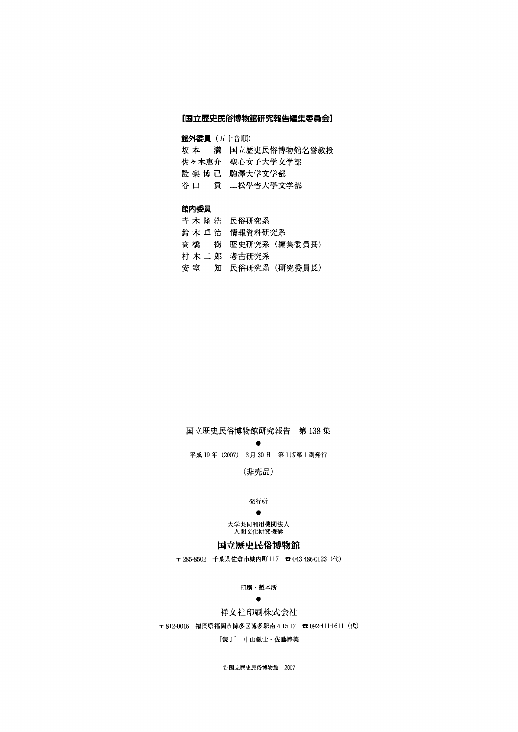#### [国立歴史民俗博物館研究報告編集委員会]

#### 館外委員(五十音順)

- 坂本 満国立歴史民俗博物館名誉教授
- 佐々木恵介 聖心女子大学文学部
- 設楽博己 駒澤大学文学部
- 谷口 貢 二松學舎大學文学部

#### 館内委員

- 青木隆浩 民俗研究系 鈴木卓治 情報資料研究系
- 高橋一樹歴史研究系(編集委員長)
- 村木二郎 考古研究系
- 安室 知 民俗研究系(研究委員長)

#### 国立歴史民俗博物館研究報告 第138集

experience and the contract of the contract of the contract of the contract of the contract of the contract of 平成19年(2007) 3月30日 第1版第1刷発行

(非売品)

#### **光行所 医心包** 医心包 医心包 医心包 医心包 医心包 医心包 医心包

#### **Production of the Contract of Contract of the Contract of Contract of the Contract of Contract of Contract of**

 大学共同利用機関法人 人間文化研究機構

#### 国立歴史民俗博物館

〒285-8502千葉県佐倉市城内町117 aO43-486-0123(代)

印刷・製本所

#### **Production of the Contract Services**

#### 祥文社印刷株式会社

〒812-0016 福岡県福岡市博多区博多駅南4-15-17 呑092'411-1611(代)

#### [装丁] 中山銀士・佐藤睦美

◎国立歴史民俗博物館 2007